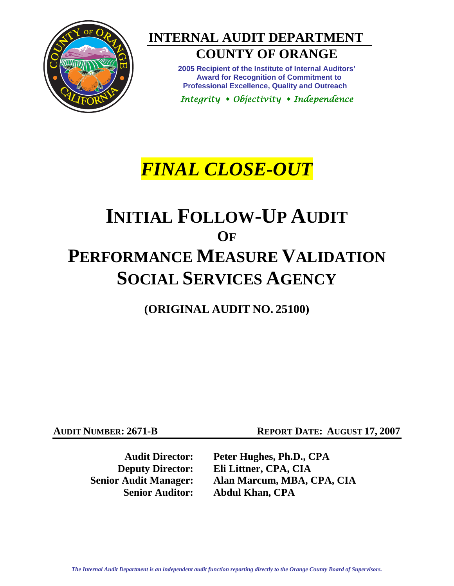

# **INTERNAL AUDIT DEPARTMENT**

# **COUNTY OF ORANGE**

**2005 Recipient of the Institute of Internal Auditors' Award for Recognition of Commitment to Professional Excellence, Quality and Outreach** 

*Integrity Objectivity Independence* 

# *FINAL CLOSE-OUT*

# **INITIAL FOLLOW-UP AUDIT OF PERFORMANCE MEASURE VALIDATION SOCIAL SERVICES AGENCY**

**(ORIGINAL AUDIT NO. 25100)** 

**AUDIT NUMBER: 2671-B REPORT DATE: AUGUST 17, 2007** 

 **Audit Director: Peter Hughes, Ph.D., CPA Deputy Director: Eli Littner, CPA, CIA Senior Audit Manager: Alan Marcum, MBA, CPA, CIA Senior Auditor: Abdul Khan, CPA**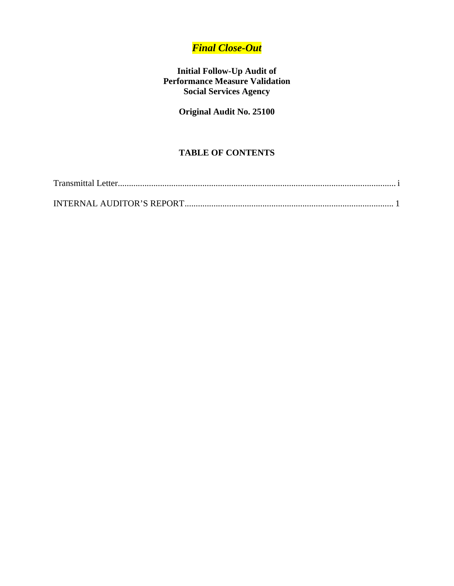# *Final Close-Out*

## **Initial Follow-Up Audit of Performance Measure Validation Social Services Agency**

**Original Audit No. 25100** 

# **TABLE OF CONTENTS**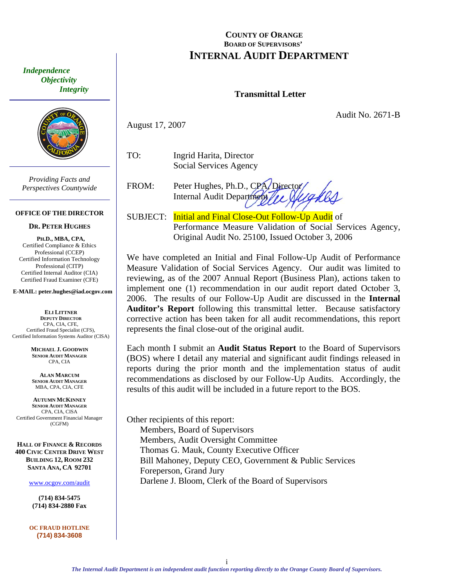*Independence Objectivity Integrity* 



*Providing Facts and Perspectives Countywide* 

#### **OFFICE OF THE DIRECTOR**

#### **DR. PETER HUGHES**

**PH.D., MBA, CPA,**  Certified Compliance & Ethics Professional (CCEP) Certified Information Technology Professional (CITP) Certified Internal Auditor (CIA) Certified Fraud Examiner (CFE)

**E-MAIL: peter.hughes@iad.ocgov.com** 

**ELI LITTNER DEPUTY DIRECTOR** CPA, CIA, CFE, Certified Fraud Specialist (CFS), Certified Information Systems Auditor (CISA)

> **MICHAEL J. GOODWIN SENIOR AUDIT MANAGER** CPA, CIA

**ALAN MARCUM SENIOR AUDIT MANAGER** MBA, CPA, CIA, CFE

**AUTUMN MCKINNEY SENIOR AUDIT MANAGER** CPA, CIA, CISA Certified Government Financial Manager (CGFM)

**HALL OF FINANCE & RECORDS 400 CIVIC CENTER DRIVE WEST BUILDING 12, ROOM 232 SANTA ANA, CA 92701** 

www.ocgov.com/audit

**(714) 834-5475 (714) 834-2880 Fax** 

**OC FRAUD HOTLINE (714) 834-3608** 

### **COUNTY OF ORANGE BOARD OF SUPERVISORS' INTERNAL AUDIT DEPARTMENT**

### **Transmittal Letter**

Audit No. 2671-B

August 17, 2007

TO: Ingrid Harita, Director Social Services Agency

FROM: Peter Hughes, Ph.D., CPA, Director Internal Audit Department

SUBJECT: Initial and Final Close-Out Follow-Up Audit of Performance Measure Validation of Social Services Agency, Original Audit No. 25100, Issued October 3, 2006

We have completed an Initial and Final Follow-Up Audit of Performance Measure Validation of Social Services Agency. Our audit was limited to reviewing, as of the 2007 Annual Report (Business Plan), actions taken to implement one (1) recommendation in our audit report dated October 3, 2006. The results of our Follow-Up Audit are discussed in the **Internal Auditor's Report** following this transmittal letter. Because satisfactory corrective action has been taken for all audit recommendations, this report represents the final close-out of the original audit.

Each month I submit an **Audit Status Report** to the Board of Supervisors (BOS) where I detail any material and significant audit findings released in reports during the prior month and the implementation status of audit recommendations as disclosed by our Follow-Up Audits. Accordingly, the results of this audit will be included in a future report to the BOS.

Other recipients of this report: Members, Board of Supervisors Members, Audit Oversight Committee Thomas G. Mauk, County Executive Officer Bill Mahoney, Deputy CEO, Government & Public Services Foreperson, Grand Jury Darlene J. Bloom, Clerk of the Board of Supervisors